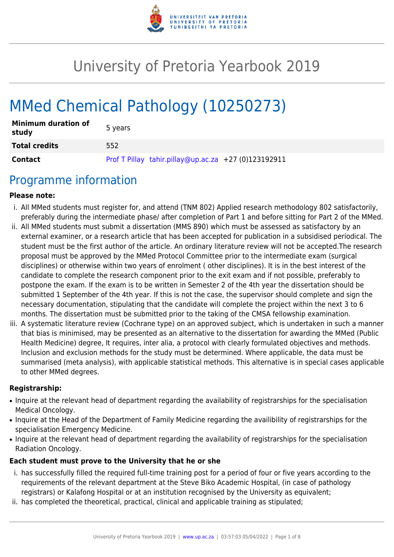

# University of Pretoria Yearbook 2019

# MMed Chemical Pathology (10250273)

| <b>Minimum duration of</b><br>study | 5 years                                              |
|-------------------------------------|------------------------------------------------------|
| <b>Total credits</b>                | 552                                                  |
| <b>Contact</b>                      | Prof T Pillay tahir.pillay@up.ac.za +27 (0)123192911 |

# Programme information

#### **Please note:**

- i. All MMed students must register for, and attend (TNM 802) Applied research methodology 802 satisfactorily, preferably during the intermediate phase/ after completion of Part 1 and before sitting for Part 2 of the MMed.
- ii. All MMed students must submit a dissertation (MMS 890) which must be assessed as satisfactory by an external examiner, or a research article that has been accepted for publication in a subsidised periodical. The student must be the first author of the article. An ordinary literature review will not be accepted.The research proposal must be approved by the MMed Protocol Committee prior to the intermediate exam (surgical disciplines) or otherwise within two years of enrolment ( other disciplines). It is in the best interest of the candidate to complete the research component prior to the exit exam and if not possible, preferably to postpone the exam. If the exam is to be written in Semester 2 of the 4th year the dissertation should be submitted 1 September of the 4th year. If this is not the case, the supervisor should complete and sign the necessary documentation, stipulating that the candidate will complete the project within the next 3 to 6 months. The dissertation must be submitted prior to the taking of the CMSA fellowship examination.
- iii. A systematic literature review (Cochrane type) on an approved subject, which is undertaken in such a manner that bias is minimised, may be presented as an alternative to the dissertation for awarding the MMed (Public Health Medicine) degree, It requires, inter alia, a protocol with clearly formulated objectives and methods. Inclusion and exclusion methods for the study must be determined. Where applicable, the data must be summarised (meta analysis), with applicable statistical methods. This alternative is in special cases applicable to other MMed degrees.

#### **Registrarship:**

- Inquire at the relevant head of department regarding the availability of registrarships for the specialisation Medical Oncology.
- Inquire at the Head of the Department of Family Medicine regarding the availibility of registrarships for the specialisation Emergency Medicine.
- Inquire at the relevant head of department regarding the availability of registrarships for the specialisation Radiation Oncology.

#### **Each student must prove to the University that he or she**

- i. has successfully filled the required full-time training post for a period of four or five years according to the requirements of the relevant department at the Steve Biko Academic Hospital, (in case of pathology registrars) or Kalafong Hospital or at an institution recognised by the University as equivalent;
- ii. has completed the theoretical, practical, clinical and applicable training as stipulated;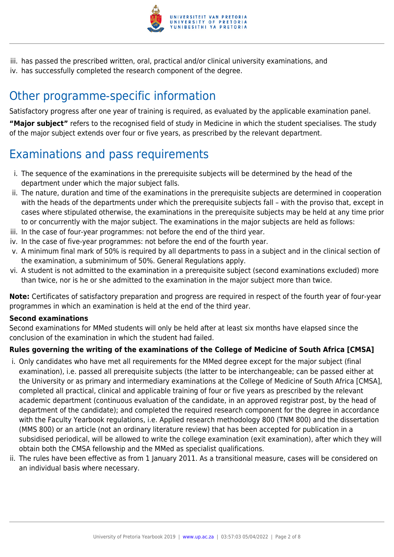

iii. has passed the prescribed written, oral, practical and/or clinical university examinations, and iv. has successfully completed the research component of the degree.

# Other programme-specific information

Satisfactory progress after one year of training is required, as evaluated by the applicable examination panel.

**"Major subject"** refers to the recognised field of study in Medicine in which the student specialises. The study of the major subject extends over four or five years, as prescribed by the relevant department.

# Examinations and pass requirements

- i. The sequence of the examinations in the prerequisite subjects will be determined by the head of the department under which the major subject falls.
- ii. The nature, duration and time of the examinations in the prerequisite subjects are determined in cooperation with the heads of the departments under which the prerequisite subjects fall – with the proviso that, except in cases where stipulated otherwise, the examinations in the prerequisite subjects may be held at any time prior to or concurrently with the major subject. The examinations in the major subjects are held as follows:
- iii. In the case of four-year programmes: not before the end of the third year.
- iv. In the case of five-year programmes: not before the end of the fourth year.
- v. A minimum final mark of 50% is required by all departments to pass in a subject and in the clinical section of the examination, a subminimum of 50%. General Regulations apply.
- vi. A student is not admitted to the examination in a prerequisite subject (second examinations excluded) more than twice, nor is he or she admitted to the examination in the major subject more than twice.

**Note:** Certificates of satisfactory preparation and progress are required in respect of the fourth year of four-year programmes in which an examination is held at the end of the third year.

#### **Second examinations**

Second examinations for MMed students will only be held after at least six months have elapsed since the conclusion of the examination in which the student had failed.

#### **Rules governing the writing of the examinations of the College of Medicine of South Africa [CMSA]**

- i. Only candidates who have met all requirements for the MMed degree except for the major subject (final examination), i.e. passed all prerequisite subjects (the latter to be interchangeable; can be passed either at the University or as primary and intermediary examinations at the College of Medicine of South Africa [CMSA], completed all practical, clinical and applicable training of four or five years as prescribed by the relevant academic department (continuous evaluation of the candidate, in an approved registrar post, by the head of department of the candidate); and completed the required research component for the degree in accordance with the Faculty Yearbook regulations, i.e. Applied research methodology 800 (TNM 800) and the dissertation (MMS 800) or an article (not an ordinary literature review) that has been accepted for publication in a subsidised periodical, will be allowed to write the college examination (exit examination), after which they will obtain both the CMSA fellowship and the MMed as specialist qualifications.
- ii. The rules have been effective as from 1 January 2011. As a transitional measure, cases will be considered on an individual basis where necessary.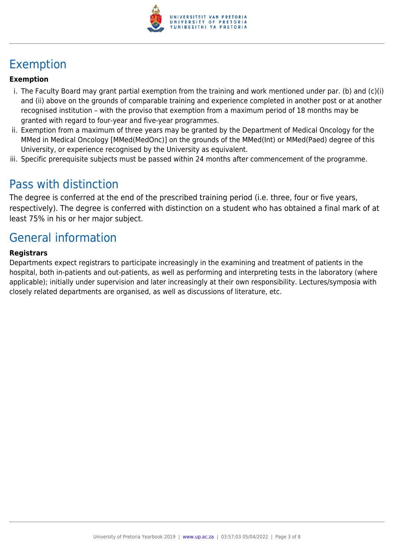

# Exemption

#### **Exemption**

- i. The Faculty Board may grant partial exemption from the training and work mentioned under par. (b) and (c)(i) and (ii) above on the grounds of comparable training and experience completed in another post or at another recognised institution – with the proviso that exemption from a maximum period of 18 months may be granted with regard to four-year and five-year programmes.
- ii. Exemption from a maximum of three years may be granted by the Department of Medical Oncology for the MMed in Medical Oncology [MMed(MedOnc)] on the grounds of the MMed(Int) or MMed(Paed) degree of this University, or experience recognised by the University as equivalent.
- iii. Specific prerequisite subjects must be passed within 24 months after commencement of the programme.

# Pass with distinction

The degree is conferred at the end of the prescribed training period (i.e. three, four or five years, respectively). The degree is conferred with distinction on a student who has obtained a final mark of at least 75% in his or her major subject.

# General information

#### **Registrars**

Departments expect registrars to participate increasingly in the examining and treatment of patients in the hospital, both in-patients and out-patients, as well as performing and interpreting tests in the laboratory (where applicable); initially under supervision and later increasingly at their own responsibility. Lectures/symposia with closely related departments are organised, as well as discussions of literature, etc.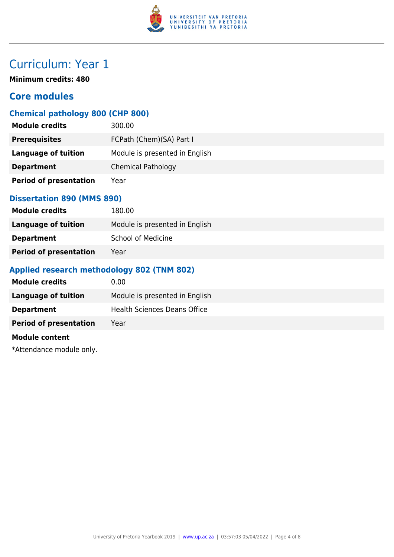

**Minimum credits: 480**

# **Core modules**

# **Chemical pathology 800 (CHP 800)**

| <b>Module credits</b>         | 300.00                         |
|-------------------------------|--------------------------------|
| <b>Prerequisites</b>          | FCPath (Chem)(SA) Part I       |
| Language of tuition           | Module is presented in English |
| <b>Department</b>             | <b>Chemical Pathology</b>      |
| <b>Period of presentation</b> | Year                           |

### **Dissertation 890 (MMS 890)**

| <b>Module credits</b>         | 180.00                         |
|-------------------------------|--------------------------------|
| Language of tuition           | Module is presented in English |
| <b>Department</b>             | <b>School of Medicine</b>      |
| <b>Period of presentation</b> | Year                           |

### **Applied research methodology 802 (TNM 802)**

| <b>Module credits</b>         | 0.00                           |
|-------------------------------|--------------------------------|
| <b>Language of tuition</b>    | Module is presented in English |
| <b>Department</b>             | Health Sciences Deans Office   |
| <b>Period of presentation</b> | Year                           |
| <b>Module content</b>         |                                |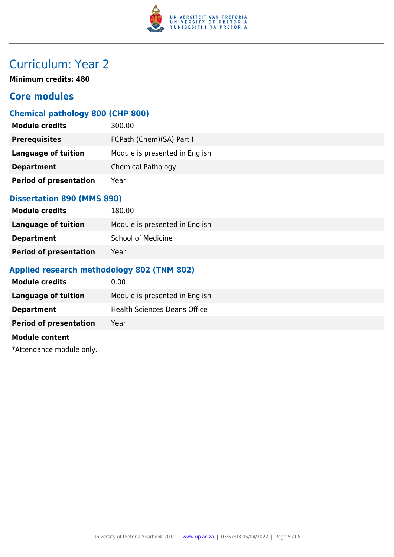

**Minimum credits: 480**

# **Core modules**

### **Chemical pathology 800 (CHP 800)**

| <b>Module credits</b>         | 300.00                         |
|-------------------------------|--------------------------------|
| <b>Prerequisites</b>          | FCPath (Chem)(SA) Part I       |
| Language of tuition           | Module is presented in English |
| <b>Department</b>             | <b>Chemical Pathology</b>      |
| <b>Period of presentation</b> | Year                           |

#### **Dissertation 890 (MMS 890)**

| <b>Module credits</b>         | 180.00                         |
|-------------------------------|--------------------------------|
| Language of tuition           | Module is presented in English |
| <b>Department</b>             | <b>School of Medicine</b>      |
| <b>Period of presentation</b> | Year                           |

### **Applied research methodology 802 (TNM 802)**

| <b>Module credits</b>         | 0.00                                |
|-------------------------------|-------------------------------------|
| <b>Language of tuition</b>    | Module is presented in English      |
| <b>Department</b>             | <b>Health Sciences Deans Office</b> |
| <b>Period of presentation</b> | Year                                |
| <b>Module content</b>         |                                     |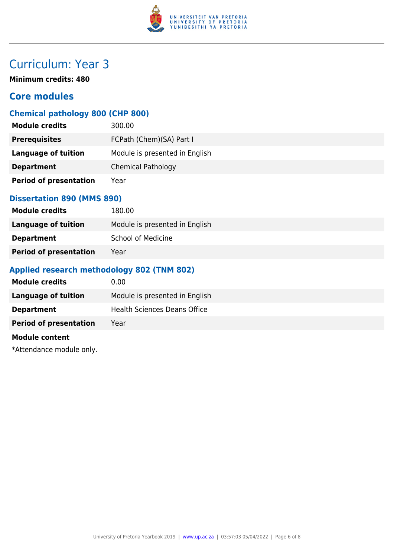

**Minimum credits: 480**

### **Core modules**

### **Chemical pathology 800 (CHP 800)**

| <b>Module credits</b>         | 300.00                         |
|-------------------------------|--------------------------------|
| <b>Prerequisites</b>          | FCPath (Chem)(SA) Part I       |
| Language of tuition           | Module is presented in English |
| <b>Department</b>             | <b>Chemical Pathology</b>      |
| <b>Period of presentation</b> | Year                           |

### **Dissertation 890 (MMS 890)**

| <b>Module credits</b>         | 180.00                         |
|-------------------------------|--------------------------------|
| Language of tuition           | Module is presented in English |
| <b>Department</b>             | <b>School of Medicine</b>      |
| <b>Period of presentation</b> | Year                           |

### **Applied research methodology 802 (TNM 802)**

| <b>Module credits</b>         | 0.00                                |
|-------------------------------|-------------------------------------|
| <b>Language of tuition</b>    | Module is presented in English      |
| <b>Department</b>             | <b>Health Sciences Deans Office</b> |
| <b>Period of presentation</b> | Year                                |
| <b>Module content</b>         |                                     |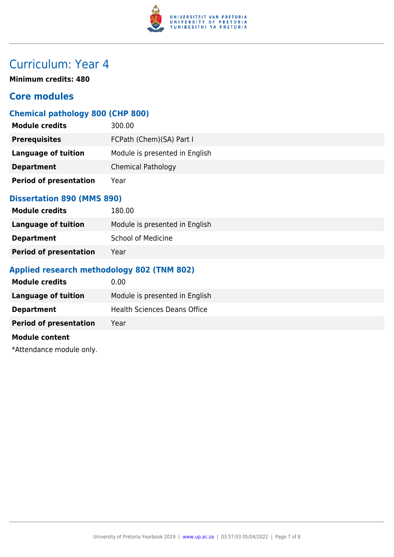

**Minimum credits: 480**

# **Core modules**

### **Chemical pathology 800 (CHP 800)**

| <b>Module credits</b>         | 300.00                         |
|-------------------------------|--------------------------------|
| <b>Prerequisites</b>          | FCPath (Chem)(SA) Part I       |
| Language of tuition           | Module is presented in English |
| <b>Department</b>             | <b>Chemical Pathology</b>      |
| <b>Period of presentation</b> | Year                           |

#### **Dissertation 890 (MMS 890)**

| <b>Module credits</b>         | 180.00                         |
|-------------------------------|--------------------------------|
| Language of tuition           | Module is presented in English |
| <b>Department</b>             | <b>School of Medicine</b>      |
| <b>Period of presentation</b> | Year                           |

### **Applied research methodology 802 (TNM 802)**

| <b>Module credits</b>         | 0.00                                |
|-------------------------------|-------------------------------------|
| <b>Language of tuition</b>    | Module is presented in English      |
| <b>Department</b>             | <b>Health Sciences Deans Office</b> |
| <b>Period of presentation</b> | Year                                |
| <b>Module content</b>         |                                     |